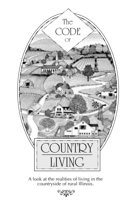

A look at the realities of living in the<br>countryside of rural Illinois.

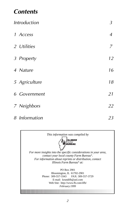# $Contents$

| <b>Introduction</b> | $\overline{3}$ |
|---------------------|----------------|
| 1 Access            | $\overline{4}$ |
| 2 Utilities         | 7              |
| 3 Property          | 12             |
| 4 Nature            | 16             |
| 5 Agriculture       | 18             |
| <b>6</b> Government | 21             |
| 7 Neighbors         | 22             |
| 8 Information       | 23             |

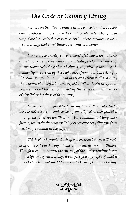# *The Code of Country Living*

*Settlers on the Illinois prairie lived by a code suited to their own livelihood and lifestyle in the rural countryside. Though that way of life has evolved over two centuries, there remains a code, a way of living, that rural Illinois residents still honor.*

*Living in the country can be a wonderful way of life—if your expectations are in-line with reality. Reality seldom measures up to the romanticized version of almost any idea or ideal—as is frequently discovered by those who move from an urban setting to the country. People often intend to get away from it all and enjoy the serenity of an agrarian countryside. What they'll likely find, however, is that they are only trading the benefits and drawbacks of city living for those of the country.*

*In rural Illinois, you'll find working farms. You'll also find a level of infrastructure and services generally below that provided through the collective wealth of an urban community. Many other factors, too, make the country living experience very different from what may be found in the city.*

*This booklet is provided to help you make an informed lifestyle decision about purchasing a home or a homesite in rural Illinois. Though it cannot convey the entirety of the understanding borne from a lifetime of rural living, it can give you a glimpse of what it takes to live by what might be called the Code of Country Living.*

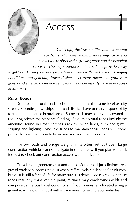

 *Access 1*

You'll enjoy the lower traffic volumes on rural roads. That makes walking more enjoyable and allows you to observe the growing crops and the beautiful sunrises. The major purpose of the road—to provide a way

to get to and from your rural property—will vary with road types. Changing conditions and generally lower design level roads mean that you, your guests and emergency service vehicles will not necessarily have easy access at all times.

### *Rural Roads*

Don't expect rural roads to be maintained at the same level as city streets. Counties, townships and road districts have primary responsibility for road maintenance in rural areas. Some roads may be privately owned requiring private maintenance funding. Seldom do rural roads include the amenities found in urban settings such as: wide lanes, curb and gutter, striping and lighting. And, the funds to maintain those roads will come primarily from the property taxes you and your neighbors pay.

Narrow roads and bridge weight limits often restrict travel. Large construction vehicles cannot navigate in some areas. If you plan to build, it's best to check out construction access well in advance.

Gravel roads generate dust and dings. Some road jurisdictions treat gravel roads to suppress the dust when traffic levels reach specific volumes, but dust is still a fact of life for many rural residents. Loose gravel on these roads regularly chips vehicle paint, at times may crack windshields and can pose dangerous travel conditions. If your homesite is located along a gravel road, know that dust will invade your home and your vehicles.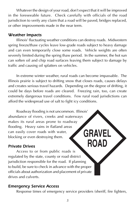Whatever the design of your road, don't expect that it will be improved in the foreseeable future. Check carefully with officials of the road jurisdiction to verify any claim that a road will be paved, bridges replaced, or other improvements made in the near term.

### *Weather Impacts*

Illinois' fluctuating weather conditions can destroy roads. Midwestern spring freeze/thaw cycles leave low-grade roads subject to heavy damage and can even temporarily close some roads. Vehicle weights are often severely limited during the spring thaw period. In the summer, the hot sun can soften oil and chip road surfaces leaving them subject to damage by traffic and causing oil splatters on vehicles.

In extreme winter weather, rural roads can become impassable. The Illinois prairie is subject to drifting snow that closes roads, causes delays and creates serious travel hazards. Depending on the degree of drifting, it could be days before roads are cleared. Freezing rain, too, can create extremely dangerous travel conditions. Few rural road jurisdictions can afford the widespread use of salt to fight icy conditions.

Roadway flooding is not uncommon. Illinois' abundance of rivers, creeks and waterways makes its rural areas prone to roadway flooding. Heavy rains in flatland areas can easily cover roads with water, **GRAVE** blocking or even destroying them.

### *Private Drives*

Access to or from public roads is regulated by the state, county or road district jurisdiction responsible for the road. If planning to build, be sure to check in advance with the proper officials about authorization and placement of private drives and culverts.

### *Emergency Service Access*

Response times of emergency service providers (sheriff, fire fighters,

**ROA**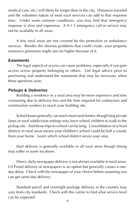medical care, etc.) will likely be longer than in the city. Distances traveled and the volunteer nature of most rural services can add to that response time. Under some extreme conditions, you may find that emergency response is slow and expensive. A 9-1-1 emergency call-in service may not be available in all areas.

A few rural areas are not covered by fire protection or ambulance services. Besides the obvious problems that could create, your property insurance premiums might also be higher because of it.

### *Easements*

The legal aspects of access can cause problems, especially if you gain access across property belonging to others. Get legal advice prior to purchasing and understand the easements that may be necessary when these questions arise.

### *Pickups & Deliveries*

Building a residence in a rural area may be more expensive and time consuming due to delivery fees and the time required for contractors and construction workers to reach your building site.

School buses generally can reach most rural homes, though long private lanes or rural subdivision settings may force school children to walk to the pickup site. And those trips to school can be long. Consolidation of school districts in rural areas means your children's school could be half a county from your home. Learn which school district serves your area.

Mail delivery is generally available in all rural areas though timing may suffer in some locations.

Direct, daily newspaper delivery is not always available in rural areas. US Postal delivery of newspapers is an option but generally causes a oneday delay. Check with the newspaper of your choice before assuming you can get same-day delivery.

Standard parcel and overnight package delivery in the country may vary from city standards. Check with the carrier to find what service level can be expected.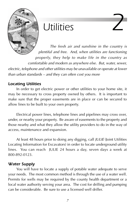

# *Utilities 2*

The fresh air and sunshine in the country is plentiful and free. And, when utilities are functioning properly, they help to make life in the country as comfortable and modern as anywhere else. But, water, sewer, electric, telephone and other utilities may be unavailable or operate at lower than urban standards – and they can often cost you more

# *Locating Utilities*

In order to get electric power or other utilities to your home site, it may be necessary to cross property owned by others. It is important to make sure that the proper easements are in place or can be secured to allow lines to be built to your own property.

Electrical power lines, telephone lines and pipelines may cross over, under, or nearby your property. Be aware of easements to the property and those nearby and what they allow the utility providers to do in the way of access, maintenance and expansion.

At least 48 hours prior to doing any digging, call JULIE (Joint Utilities Locating Information for Excavators) in order to locate underground utility lines. You can reach JULIE 24 hours a day, seven days a week at 800-892-0123.

### *Water Supply*

You will have to locate a supply of potable water adequate to serve your needs. The most common method is through the use of a water well. Permits for wells may be required by the county health department or a local water authority serving your area. The cost for drilling and pumping can be considerable. Be sure to use a licensed well driller.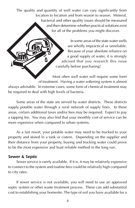The quality and quantity of well water can vary significantly from location to location and from season to season. Mineral, bacterial and other quality issues should be measured and then determine whether practical solutions exist for all of the problems you might discover.

> In some areas of the state water wells are wholly impractical or unreliable. Because of your absolute reliance on a good supply of water, it is strongly advised that you research this issue carefully before purchasing!

Most often well water will require some form of treatment. Having a water softening system is almost always advisable. In extreme cases, some form of chemical treatment may be required to deal with high levels of bacteria.

Some areas of the state are served by water districts. These districts supply potable water through a rural network of supply lines. In these areas, certain additional taxes and/or fees may be required. Expect to pay a tapping fee. You may also find that your monthly cost of service can be more expensive when compared to urban systems.

As a last resort, your potable water may need to be trucked to your property and stored in a tank or cistern. Depending on the supplier and their distance from your property, buying and trucking water could prove to be the most expensive and least reliable method in the long run.

### *Sewer & Septic*

Sewer service is rarely available. If it is, it may be relatively expensive to connect to the system and routine fees could be relatively high compared to city rates.

If sewer service is not available, you will need to use an approved septic system or other waste treatment process. These can add substantial cost to establishing your homesite. The type of soil you have available for a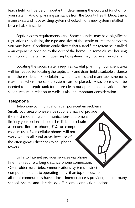leach field will be very important in determining the cost and function of your system. Ask for planning assistance from the County Health Department if one exists and have existing systems checked—or a new system installed by a reliable installer.

Septic system requirements vary. Some counties may have significant regulations stipulating the type and size of the septic or treatment system you must have. Conditions could dictate that a sand filter system be installed – an expensive addition to the cost of the home. In some cluster housing settings or on certain soil types, septic systems may not be allowed at all.

Locating the septic system requires careful planning. Sufficient area will be needed for locating the septic tank and drain field a suitable distance from the residence. Floodplains, wetlands, trees and manmade structures may limit where the septic system can be placed. Also, access will be needed to the septic tank for future clean out operations. Location of the septic system in relation to wells is also an important consideration.

### *Telephone*

Telephone communications can pose certain problems. Small, local area phone service suppliers may not provide the most modern telecommunications equipment limiting your options. It could be difficult to obtain a second line for phone, FAX or computer modem uses. Even cellular phones will not work well in all rural areas because of the often greater distances to cell phone towers.

Links to Internet provider services via phone line may require a long-distance phone connection. Often older rural telecommunications systems restrict computer modems to operating at less than top speeds. Not all rural communities have a local Internet access provider, though many school systems and libraries do offer some connection options.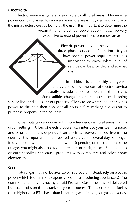### *Electricity*

Electric service is generally available to all rural areas. However, a power company asked to serve some remote areas may demand a share of the infrastructure cost be borne by the user. It is important to determine the proximity of an electrical power supply. It can be very expensive to extend power lines to remote areas.

> Electric power may not be available in a three–phase service configuration. If you have special power requirements, it is important to know what level of service can be provided and at what cost.

In addition to a monthly charge for energy consumed, the cost of electric service usually includes a fee to hook into the system. Some utilities charge further for the cost of establishing

service lines and poles on your property. Check to see what supplier provides power to the area then consider all costs before making a decision to purchase property in the country.

Power outages can occur with more frequency in rural areas than in urban settings. A loss of electric power can interrupt your well, furnace, and other appliances dependant on electrical power. If you live in the country, it is important to be prepared to survive for several days or longer in severe cold without electrical power. Depending on the duration of the outage, you might also lose food in freezers or refrigerators. Such outages or current spikes can cause problems with computers and other home electronics.

#### *Gas*

Natural gas may not be available. You could, instead, rely on electric power which is often more expensive (for heat-producing appliances.) The common alternative is having Liquid Propane Gas or heating oil delivered by truck and stored in a tank on your property. The cost of such fuel is often higher on a BTU basis than is natural gas. If relying on gas deliveries,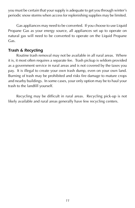you must be certain that your supply is adequate to get you through winter's periodic snow storms when access for replenishing supplies may be limited.

Gas appliances may need to be converted. If you choose to use Liquid Propane Gas as your energy source, all appliances set up to operate on natural gas will need to be converted to operate on the Liquid Propane Gas.

### *Trash & Recycling*

Routine trash removal may not be available in all rural areas. Where it is, it most often requires a separate fee. Trash pickup is seldom provided as a government service in rural areas and is not covered by the taxes you pay. It is illegal to create your own trash dump, even on your own land. Burning of trash may be prohibited and risks fire damage to mature crops and nearby buildings. In some cases, your only option may be to haul your trash to the landfill yourself.

Recycling may be difficult in rural areas. Recycling pick-up is not likely available and rural areas generally have few recycling centers.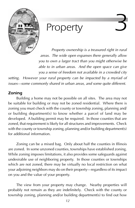

# *Property 3*

Property ownership is a treasured right in rural areas. The wide open expanses there generally allow you to own a larger tract than you might otherwise be able to in urban areas. And the open space can give you a sense of freedom not available in a crowded city

setting. However your rural property can be impacted by a myriad of issues—some commonly shared in urban areas, and some quite different.

# *Zoning*

Building a home may not be possible on all sites. The area may not be suitable for building or may not be zoned residential. Where there is zoning you must check with the county or township zoning, planning and/ or building department(s) to know whether a parcel of land may be developed. A building permit may be required. In those counties that are zoned, that requirement is likely for all structures and improvements. Check with the county or township zoning, planning and/or building department(s) for additional information.

Zoning can be a mixed bag. Only about half the counties in Illinois are zoned. In some unzoned counties, townships have established zoning. While zoning imposes limitations, it also provides some safeguards against undesirable use of neighboring property. In those counties or townships which are not zoned, there may be virtually no local restriction on what your adjoining neighbors may do on their property—regardless of its impact on you and the value of your property.

The view from your property may change. Nearby properties will probably not remain as they are indefinitely. Check with the county or township zoning, planning and/or building department(s) to find out how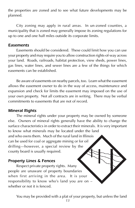the properties are zoned and to see what future developments may be planned.

City zoning may apply in rural areas. In un-zoned counties, a municipality that is zoned may generally impose its zoning regulations for up to one and one half miles outside its corporate limits.

#### *Easements*

Easements should be considered. These could limit how you can use your property and may require you to allow construction rights-of-way across your land. Roads, railroads, habitat protection, view sheds, power lines, gas lines, water lines, and sewer lines are a few of the things for which easements can be established.

Be aware of easements on nearby parcels, too. Learn what the easement allows the easement owner to do in the way of access, maintenance and expansion and check for limits the easement may imposed on the use of your own property. Not all contracts are in writing. There may be verbal commitments to easements that are not of record.

### *Mineral Rights*

The mineral rights under your property may be owned by someone else. Owners of mineral rights generally have the ability to change the surface characteristics in order to extract their minerals. It is very important to know what minerals may be located under the land and who owns them. Much of the rural land in Illinois can be used for coal or aggregate mining or for oil drilling—however, a special review by the county board is usually required.

# *Property Lines & Fences*

Respect private property rights. Many people are unaware of property boundaries when first arriving in the area. It is your responsibility to know who's land you are on – whether or not it is fenced.

You may be provided with a plat of your property, but unless the land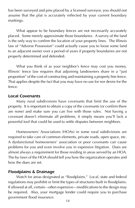has been surveyed and pins placed by a licensed surveyor, you should not assume that the plat is accurately reflected by your current boundary markings.

What appear to be boundary fences are not necessarily accurately placed. Some merely approximate those boundaries. A survey of the land is the only way to confirm the location of your property lines. The Illinois law of "Adverse Possession" could actually cause you to loose some land to an adjacent owner over a period of years if property boundaries are not properly determined and defended.

What you think of as your neighbor's fence may cost you money. Illinois' fence law requires that adjoining landowners share in a "just proportion" of the cost of constructing and maintaining a property line fence. That applies despite the fact that you may have no use for nor desire for the fence.

#### *Local Covenants*

Many rural subdivisions have covenants that limit the use of the property. It is important to obtain a copy of the covenants (or confirm there are none) and make sure you can live with those rules. Not having a covenant doesn't eliminate all problems, it simply means you'll lack a powerful tool that could be used to settle disputes between neighbors.

Homeowners' Associations (HOAs) in some rural subdivisions are required to take care of common elements, private roads, open space, etc. A dysfunctional homeowners' association or poor covenants can cause problems for you and even involve you in expensive litigation. Dues are almost always a requirement for those residing in areas served by an HOA. The by-laws of the HOA should tell you how the organization operates and how the dues are set.

#### *Floodplains & Drainage*

Watch for areas designated as "floodplains." Local, state and federal regulations may prohibit or limit the types of structures built in floodplains. If allowed at all, certain—often expensive—modifications to the design may be required. Also, your mortgage lender could require you to purchase government flood insurance.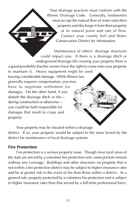Your drainage practices must conform with the Illinois Drainage Code. Generally, landowners must accept the natural flow of water onto their property and discharge it from their property at its natural point and rate of flow. Contact your county Soil and Water Conservation District for information.

Maintenance of others' drainage structures could impact you. If there is a drainage ditch or underground drainage tile crossing your property there is a good possibility that the owners have the right to come onto your property to maintain it. Heavy equipment might be used leaving considerable damage. While Illinois law generally requires compensation, you may have to negotiate settlement for damages. On the other hand, if you disturb the drainage ditch or tile during construction or otherwise you could be held responsible for damages that result to crops and property.

Your property may be situated within a drainage district. If so, your property would be subject to the taxes levied by the district for maintenance of local drainage systems.

### *Fire Protection*

Fire protection is a serious property issue. Though most rural areas of the state are served by a volunteer fire protection unit, some pockets remain without any coverage. Buildings and other structures on property that is not within a fire protection district may be subject to higher insurance rates and be at greater risk in the event of fire than those within a district. As a general rule, property protected by a volunteer fire protection unit is subject to higher insurance rates than that served by a full-time professional force.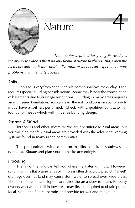<span id="page-15-0"></span>

# **Nature**

The country is prized for giving its residents the ability to witness the flora and fauna of nature firsthand. But, when the elements and earth turn unfriendly, rural residents can experience more problems than their city cousins.

# *Soils*

Illinois soils vary from deep, rich silt loam to shallow, rocky clay. Each requires special building considerations. Some may hinder the construction of basements due to drainage restrictions. Building in many areas requires an engineered foundation. You can learn the soil conditions on your property if you have a soil test performed. Check with a qualified contractor for foundation needs which will influence building design.

# *Storms & Wind*

Tornadoes and other severe storms are not unique to rural areas, but you will find that few rural areas are provided with the advanced warning systems found in many urban communities.

The predominant wind direction in Illinois is from southwest to northeast. Situate and plan your homesite accordingly.

# *Flooding*

The lay of the land can tell you where the water will flow. However, runoff from the flat prairie lands of Illinois is often difficult to predict. "Sheet" drainage over flat land may cause stormwater to spread over wide areas. The lack of significant slope also makes the area slow to drain. Property owners who want to fill in low areas may first be required to obtain proper local, state, and federal permits and provide for wetland mitigation.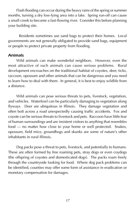Flash flooding can occur during the heavy rains of the spring or summer months, turning a dry low-lying area into a lake. Spring run-off can cause a small creek to become a fast-flowing river. Consider this before planning your building site.

 Residents sometimes use sand bags to protect their homes. Local governments are not generally obligated to provide sand bags, equipment or people to protect private property from flooding.

#### *Animals*

Wild animals can make wonderful neighbors. However, even the most attractive of such animals can cause serious problems. Rural development encroaches on the traditional habitat of coyotes, deer, ticks, raccoon, opossum and other animals that can be dangerous and you need to learn how to deal with them. In general, it is best to enjoy wildlife from a distance.

Wild animals can pose serious threats to pets, livestock, vegetation, and vehicles. Waterfowl can be particularly damaging to vegetation along flyways. Deer are ubiquitous in Illinois. They damage vegetation and often bolt across a road unexpectedly causing traffic accidents. Fox and coyote can be serious threats to livestock and pets. Raccoon have little fear of human surroundings and are insistent visitors to anything that resembles food — no matter how close to your home or well protected. Snakes, opossum, field mice, groundhogs and skunks are some of nature's other inhabitants in rural Illinois.

Dog packs pose a threat to pets, livestock, and potentially to humans. These are often formed by free roaming pets, stray dogs or even coydogs (the offspring of coyotes and domesticated dogs). The packs roam freely through the countryside looking for food. Where dog pack problems can be identified, counties may offer some form of assistance in eradication or monetary compensation for damages.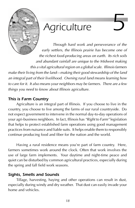<span id="page-17-0"></span>

# $A$ *griculture*

Through hard work and perseverance of the early settlers, the Illinois prairie has become one of the richest food-producing areas on earth. Its rich soils and abundant rainfall are unique to the Midwest making this a vital agricultural region on a global scale. Illinois farmers make their living from the land—making their good stewardship of the land an integral part of their livelihood. Owning rural land means learning how to care for it. It also means your neighbors may be farmers. There are a few things you need to know about Illinois agriculture.

# *This is Farm Country*

Agriculture is an integral part of Illinois. If you choose to live in the country, you choose to live among the farms of our rural countryside. Do not expect government to intervene in the normal day-to-day operations of your agri-business neighbors. In fact, Illinois has "Right to Farm" legislation that helps to protect established farm operations using good management practices from nuisance and liable suits. It helps enable them to responsibly continue producing food and fiber for the nation and the world.

Having a rural residence means you're part of farm country. Here, farmers sometimes work around the clock. Often that work involves the use of large farm implements. Your daytime and night-time peace and quiet can be disturbed by common agricultural practices, especially during the spring and fall field work seasons.

# *Sights, Smells and Sounds*

Tillage, harvesting, haying and other operations can result in dust, especially during windy and dry weather. That dust can easily invade your home and vehicles.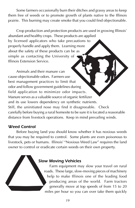Some farmers occasionally burn their ditches and grassy areas to keep them free of weeds or to promote growth of plants native to the Illinois prairie. This burning may create smoke that you could find objectionable.

Crop production and protection products are used in growing Illinois' abundant and healthy crops. These products are applied by licensed applicators who take precautions to properly handle and apply them. Learning more about the safety of these products can be as simple as contacting the University of Illinois Extension Service.

Animals and their manure can cause objectionable odors. Farmers use best management practices to limit that odor and follow government guidelines during field application to minimize odor impacts. Manure serves as a valuable source of organic fertilizer and its use lowers dependency on synthetic nutrients. Still, the uninitiated nose may find it disagreeable. Check carefully before buying a rural homesite to be sure it is located a reasonable distance from livestock operations. Keep in mind prevailing winds.

### *Weed Control*

Before buying land you should know whether it has noxious weeds that you may be required to control. Some plants are even poisonous to livestock, pets or humans. Illinois' "Noxious Weed Law" requires the land owner to control or eradicate certain weeds on their own property.

# *Slow Moving Vehicles*

Farm equipment may slow your travel on rural roads. These large, slow-moving pieces of machinery help to make Illinois one of the leading food producing areas of the world. Farm tractors generally move at top speeds of from 15 to 20 miles per hour so you can over take them quickly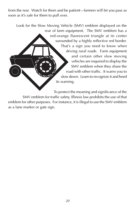from the rear. Watch for them and be patient—farmers will let you pass as soon as it's safe for them to pull over.

Look for the Slow Moving Vehicle (SMV) emblem displayed on the rear of farm equipment. The SMV emblem has a red-orange fluorescent triangle at its center surounded by a highly reflective red border. That's a sign you need to know when driving rural roads. Farm equipment and certain other slow moving vehicles are required to display the SMV emblem when they share the road with other traffic. It warns you to slow down. Learn to recognize it and heed its warning.

To protect the meaning and significance of the SMV emblem for traffic safety, Illinois law prohibits the use of that emblem for other purposes. For instance, it is illegal to use the SMV emblem as a lane marker or gate sign.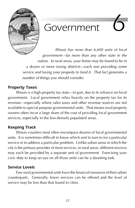<span id="page-20-0"></span>

# *Government 6*

Illinois has more than 6,600 units of local government—far more than any other state in the nation. In rural areas, your home may be found to be in a dozen or more taxing districts—each one providing some service and taxing your property to fund it. That fact generates a number of things you should consider.

# *Property Taxes*

Illinois is a high property tax state—in part, due to its reliance on local government. Local government relies heavily on the property tax for its revenue—especially where sales taxes and other revenue sources are not available to special purpose governmental units. That means rural property owners often incur a large share of the cost of providing local government services, especially in the less-densely populated areas.

# *Keeping Track*

Illinois counties most often encompass dozens of local governmental units. It is sometimes difficult to know which unit to turn to for a particular service or to address a particular problem. Unlike urban areas in which the city is the primary provider of most services, in rural areas, different services may each be provided by a separate unit of government. Exercising your civic duty to keep an eye on all those units can be a daunting task.

# *Service Levels*

Few rural governmental units have the financial resources of their urban counterparts. Generally, fewer services can be offered and the level of service may be less than that found in cities.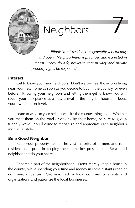<span id="page-21-0"></span>

# *Neighbors 7*

Illinois' rural residents are generally very friendly and open. Neighborliness is practiced and expected in return. They do ask, however, that privacy and private property rights be respected.

#### *Interact*

Get to know your new neighbors. Don't wait—meet those folks living near your new home as soon as you decide to buy in the country, or even before. Knowing your neighbors and letting them get to know you will speed your acceptance as a new arrival in the neighborhood and boost your own comfort level.

Learn to wave to your neighbors—it's the country thing to do. Whether you meet them on the road or driving by their home, be sure to give a friendly wave. You'll come to recognize and appreciate each neighbor's individual style.

### *Be a Good Neighbor*

Keep your property neat. The vast majority of farmers and rural residents take pride in keeping their homesites presentable. Be a good neighbor and do your share.

Become a part of the neighborhood. Don't merely keep a house in the country while spending your time and money in some distant urban or commercial center. Get involved in local community events and organizations and patronize the local businesses.